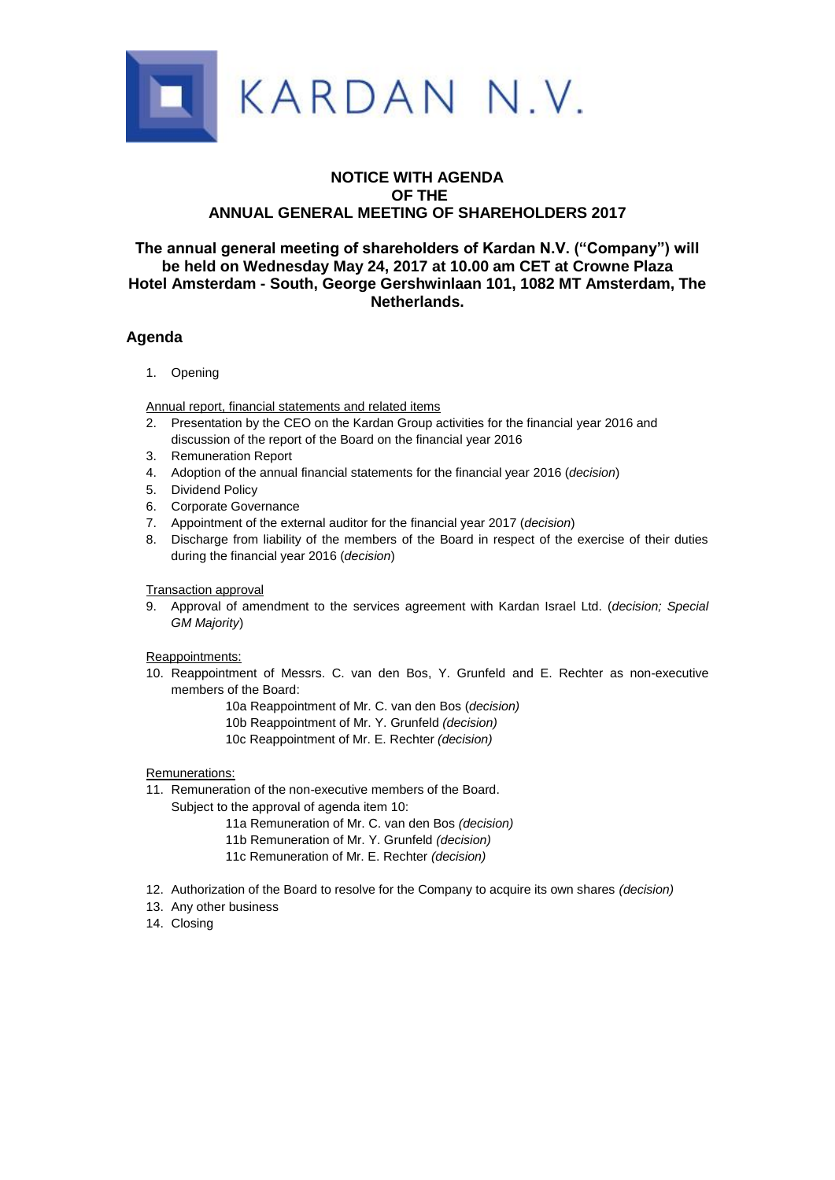

## **NOTICE WITH AGENDA OF THE ANNUAL GENERAL MEETING OF SHAREHOLDERS 2017**

### **The annual general meeting of shareholders of Kardan N.V. ("Company") will be held on Wednesday May 24, 2017 at 10.00 am CET at Crowne Plaza Hotel Amsterdam - South, George Gershwinlaan 101, 1082 MT Amsterdam, The Netherlands.**

## **Agenda**

1. Opening

Annual report, financial statements and related items

- 2. Presentation by the CEO on the Kardan Group activities for the financial year 2016 and discussion of the report of the Board on the financial year 2016
- 3. Remuneration Report
- 4. Adoption of the annual financial statements for the financial year 2016 (*decision*)
- 5. Dividend Policy
- 6. Corporate Governance
- 7. Appointment of the external auditor for the financial year 2017 (*decision*)
- 8. Discharge from liability of the members of the Board in respect of the exercise of their duties during the financial year 2016 (*decision*)

Transaction approval

9. Approval of amendment to the services agreement with Kardan Israel Ltd. (*decision; Special GM Majority*)

Reappointments:

- 10. Reappointment of Messrs. C. van den Bos, Y. Grunfeld and E. Rechter as non-executive members of the Board:
	- 10a Reappointment of Mr. C. van den Bos (*decision)*
	- 10b Reappointment of Mr. Y. Grunfeld *(decision)*
	- 10c Reappointment of Mr. E. Rechter *(decision)*

Remunerations:

11. Remuneration of the non-executive members of the Board.

Subject to the approval of agenda item 10:

- 11a Remuneration of Mr. C. van den Bos *(decision)*
- 11b Remuneration of Mr. Y. Grunfeld *(decision)*
- 11c Remuneration of Mr. E. Rechter *(decision)*
- 12. Authorization of the Board to resolve for the Company to acquire its own shares *(decision)*
- 13. Any other business
- 14. Closing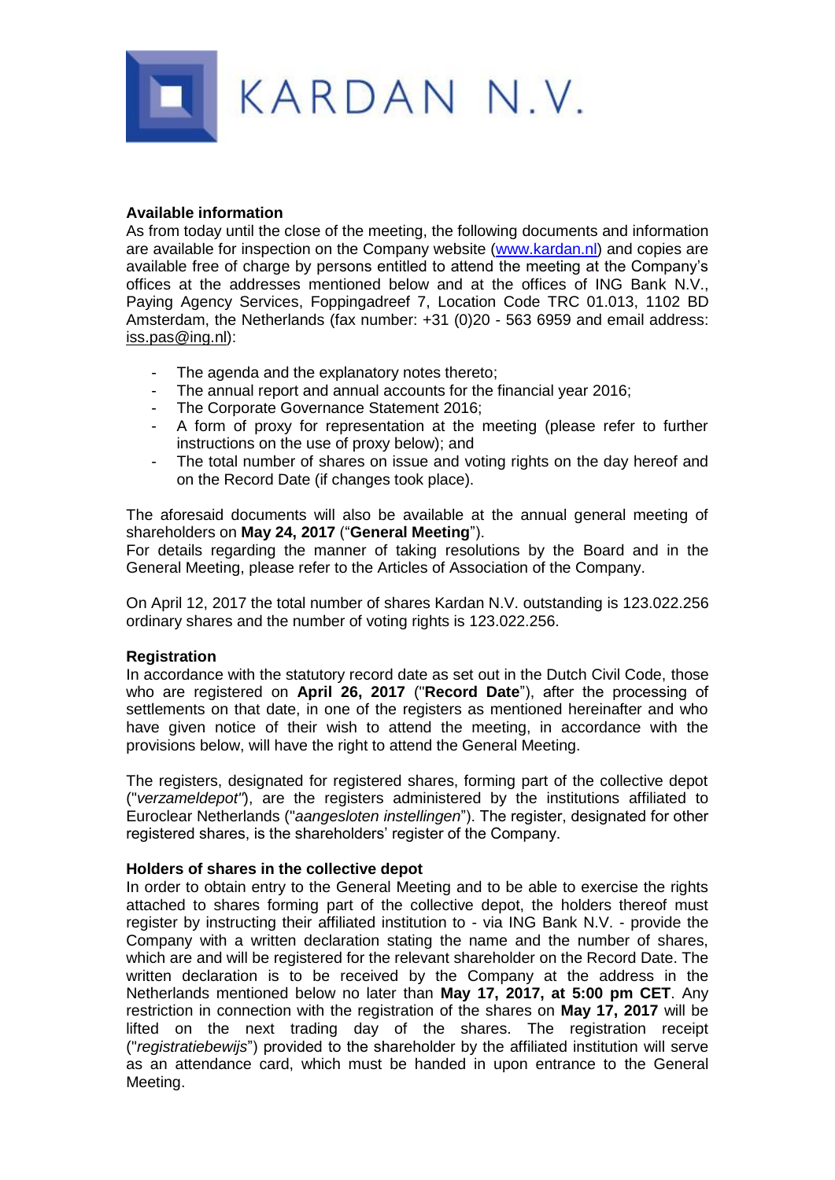

## **Available information**

As from today until the close of the meeting, the following documents and information are available for inspection on the Company website [\(www.kardan.nl\)](http://www.kardan.nl/) and copies are available free of charge by persons entitled to attend the meeting at the Company's offices at the addresses mentioned below and at the offices of ING Bank N.V., Paying Agency Services, Foppingadreef 7, Location Code TRC 01.013, 1102 BD Amsterdam, the Netherlands (fax number: +31 (0)20 - 563 6959 and email address: iss.pas@ing.nl):

- The agenda and the explanatory notes thereto;
- The annual report and annual accounts for the financial year 2016;
- The Corporate Governance Statement 2016;
- A form of proxy for representation at the meeting (please refer to further instructions on the use of proxy below); and
- The total number of shares on issue and voting rights on the day hereof and on the Record Date (if changes took place).

The aforesaid documents will also be available at the annual general meeting of shareholders on **May 24, 2017** ("**General Meeting**").

For details regarding the manner of taking resolutions by the Board and in the General Meeting, please refer to the Articles of Association of the Company.

On April 12, 2017 the total number of shares Kardan N.V. outstanding is 123.022.256 ordinary shares and the number of voting rights is 123.022.256.

# **Registration**

In accordance with the statutory record date as set out in the Dutch Civil Code, those who are registered on **April 26, 2017** ("**Record Date**"), after the processing of settlements on that date, in one of the registers as mentioned hereinafter and who have given notice of their wish to attend the meeting, in accordance with the provisions below, will have the right to attend the General Meeting.

The registers, designated for registered shares, forming part of the collective depot ("*verzameldepot"*), are the registers administered by the institutions affiliated to Euroclear Netherlands ("*aangesloten instellingen*"). The register, designated for other registered shares, is the shareholders' register of the Company.

# **Holders of shares in the collective depot**

In order to obtain entry to the General Meeting and to be able to exercise the rights attached to shares forming part of the collective depot, the holders thereof must register by instructing their affiliated institution to - via ING Bank N.V. - provide the Company with a written declaration stating the name and the number of shares, which are and will be registered for the relevant shareholder on the Record Date. The written declaration is to be received by the Company at the address in the Netherlands mentioned below no later than **May 17, 2017, at 5:00 pm CET**. Any restriction in connection with the registration of the shares on **May 17, 2017** will be lifted on the next trading day of the shares. The registration receipt ("*registratiebewijs*") provided to the shareholder by the affiliated institution will serve as an attendance card, which must be handed in upon entrance to the General Meeting.